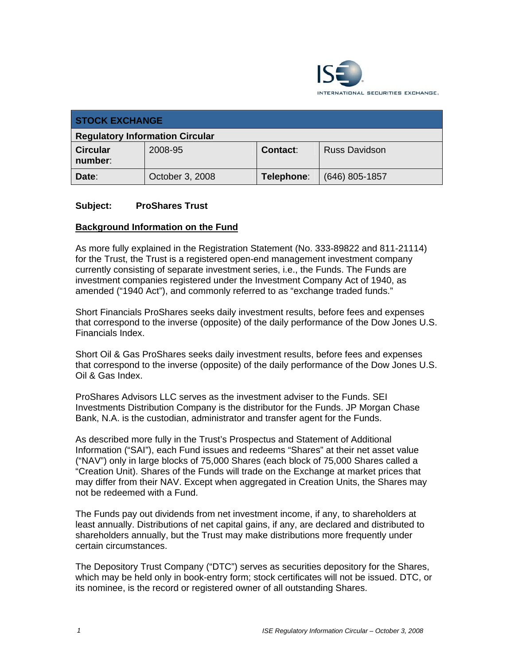

| <b>STOCK EXCHANGE</b>                  |                 |            |                      |
|----------------------------------------|-----------------|------------|----------------------|
| <b>Regulatory Information Circular</b> |                 |            |                      |
| <b>Circular</b><br>number:             | 2008-95         | Contact:   | <b>Russ Davidson</b> |
| Date:                                  | October 3, 2008 | Telephone: | $(646)$ 805-1857     |

#### **Subject: ProShares Trust**

#### **Background Information on the Fund**

As more fully explained in the Registration Statement (No. 333-89822 and 811-21114) for the Trust, the Trust is a registered open-end management investment company currently consisting of separate investment series, i.e., the Funds. The Funds are investment companies registered under the Investment Company Act of 1940, as amended ("1940 Act"), and commonly referred to as "exchange traded funds."

Short Financials ProShares seeks daily investment results, before fees and expenses that correspond to the inverse (opposite) of the daily performance of the Dow Jones U.S. Financials Index.

Short Oil & Gas ProShares seeks daily investment results, before fees and expenses that correspond to the inverse (opposite) of the daily performance of the Dow Jones U.S. Oil & Gas Index.

ProShares Advisors LLC serves as the investment adviser to the Funds. SEI Investments Distribution Company is the distributor for the Funds. JP Morgan Chase Bank, N.A. is the custodian, administrator and transfer agent for the Funds.

As described more fully in the Trust's Prospectus and Statement of Additional Information ("SAI"), each Fund issues and redeems "Shares" at their net asset value ("NAV") only in large blocks of 75,000 Shares (each block of 75,000 Shares called a "Creation Unit). Shares of the Funds will trade on the Exchange at market prices that may differ from their NAV. Except when aggregated in Creation Units, the Shares may not be redeemed with a Fund.

The Funds pay out dividends from net investment income, if any, to shareholders at least annually. Distributions of net capital gains, if any, are declared and distributed to shareholders annually, but the Trust may make distributions more frequently under certain circumstances.

The Depository Trust Company ("DTC") serves as securities depository for the Shares, which may be held only in book-entry form; stock certificates will not be issued. DTC, or its nominee, is the record or registered owner of all outstanding Shares.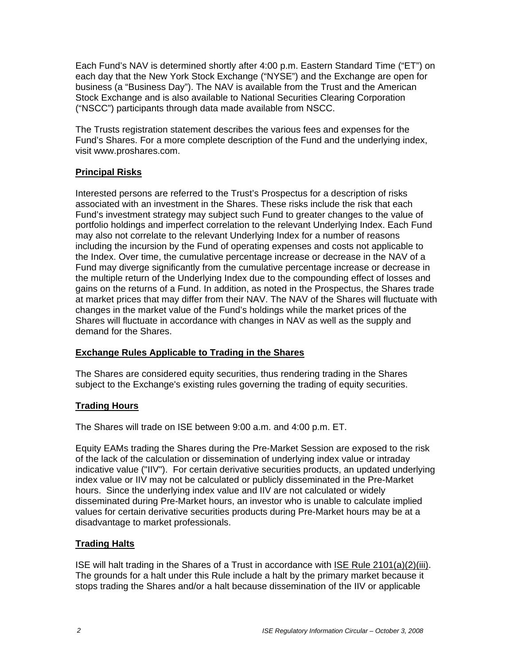Each Fund's NAV is determined shortly after 4:00 p.m. Eastern Standard Time ("ET") on each day that the New York Stock Exchange ("NYSE") and the Exchange are open for business (a "Business Day"). The NAV is available from the Trust and the American Stock Exchange and is also available to National Securities Clearing Corporation ("NSCC") participants through data made available from NSCC.

The Trusts registration statement describes the various fees and expenses for the Fund's Shares. For a more complete description of the Fund and the underlying index, visit www.proshares.com.

# **Principal Risks**

Interested persons are referred to the Trust's Prospectus for a description of risks associated with an investment in the Shares. These risks include the risk that each Fund's investment strategy may subject such Fund to greater changes to the value of portfolio holdings and imperfect correlation to the relevant Underlying Index. Each Fund may also not correlate to the relevant Underlying Index for a number of reasons including the incursion by the Fund of operating expenses and costs not applicable to the Index. Over time, the cumulative percentage increase or decrease in the NAV of a Fund may diverge significantly from the cumulative percentage increase or decrease in the multiple return of the Underlying Index due to the compounding effect of losses and gains on the returns of a Fund. In addition, as noted in the Prospectus, the Shares trade at market prices that may differ from their NAV. The NAV of the Shares will fluctuate with changes in the market value of the Fund's holdings while the market prices of the Shares will fluctuate in accordance with changes in NAV as well as the supply and demand for the Shares.

### **Exchange Rules Applicable to Trading in the Shares**

The Shares are considered equity securities, thus rendering trading in the Shares subject to the Exchange's existing rules governing the trading of equity securities.

### **Trading Hours**

The Shares will trade on ISE between 9:00 a.m. and 4:00 p.m. ET.

Equity EAMs trading the Shares during the Pre-Market Session are exposed to the risk of the lack of the calculation or dissemination of underlying index value or intraday indicative value ("IIV"). For certain derivative securities products, an updated underlying index value or IIV may not be calculated or publicly disseminated in the Pre-Market hours. Since the underlying index value and IIV are not calculated or widely disseminated during Pre-Market hours, an investor who is unable to calculate implied values for certain derivative securities products during Pre-Market hours may be at a disadvantage to market professionals.

# **Trading Halts**

ISE will halt trading in the Shares of a Trust in accordance with ISE Rule 2101(a)(2)(iii). The grounds for a halt under this Rule include a halt by the primary market because it stops trading the Shares and/or a halt because dissemination of the IIV or applicable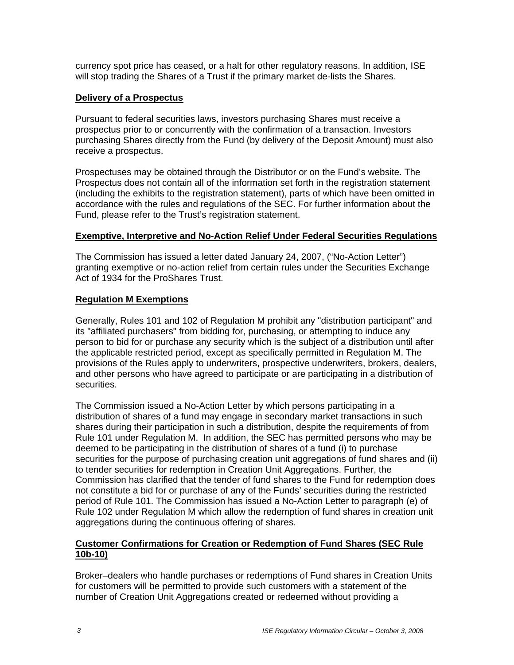currency spot price has ceased, or a halt for other regulatory reasons. In addition, ISE will stop trading the Shares of a Trust if the primary market de-lists the Shares.

#### **Delivery of a Prospectus**

Pursuant to federal securities laws, investors purchasing Shares must receive a prospectus prior to or concurrently with the confirmation of a transaction. Investors purchasing Shares directly from the Fund (by delivery of the Deposit Amount) must also receive a prospectus.

Prospectuses may be obtained through the Distributor or on the Fund's website. The Prospectus does not contain all of the information set forth in the registration statement (including the exhibits to the registration statement), parts of which have been omitted in accordance with the rules and regulations of the SEC. For further information about the Fund, please refer to the Trust's registration statement.

#### **Exemptive, Interpretive and No-Action Relief Under Federal Securities Regulations**

The Commission has issued a letter dated January 24, 2007, ("No-Action Letter") granting exemptive or no-action relief from certain rules under the Securities Exchange Act of 1934 for the ProShares Trust.

### **Regulation M Exemptions**

Generally, Rules 101 and 102 of Regulation M prohibit any "distribution participant" and its "affiliated purchasers" from bidding for, purchasing, or attempting to induce any person to bid for or purchase any security which is the subject of a distribution until after the applicable restricted period, except as specifically permitted in Regulation M. The provisions of the Rules apply to underwriters, prospective underwriters, brokers, dealers, and other persons who have agreed to participate or are participating in a distribution of securities.

The Commission issued a No-Action Letter by which persons participating in a distribution of shares of a fund may engage in secondary market transactions in such shares during their participation in such a distribution, despite the requirements of from Rule 101 under Regulation M. In addition, the SEC has permitted persons who may be deemed to be participating in the distribution of shares of a fund (i) to purchase securities for the purpose of purchasing creation unit aggregations of fund shares and (ii) to tender securities for redemption in Creation Unit Aggregations. Further, the Commission has clarified that the tender of fund shares to the Fund for redemption does not constitute a bid for or purchase of any of the Funds' securities during the restricted period of Rule 101. The Commission has issued a No-Action Letter to paragraph (e) of Rule 102 under Regulation M which allow the redemption of fund shares in creation unit aggregations during the continuous offering of shares.

### **Customer Confirmations for Creation or Redemption of Fund Shares (SEC Rule 10b-10)**

Broker–dealers who handle purchases or redemptions of Fund shares in Creation Units for customers will be permitted to provide such customers with a statement of the number of Creation Unit Aggregations created or redeemed without providing a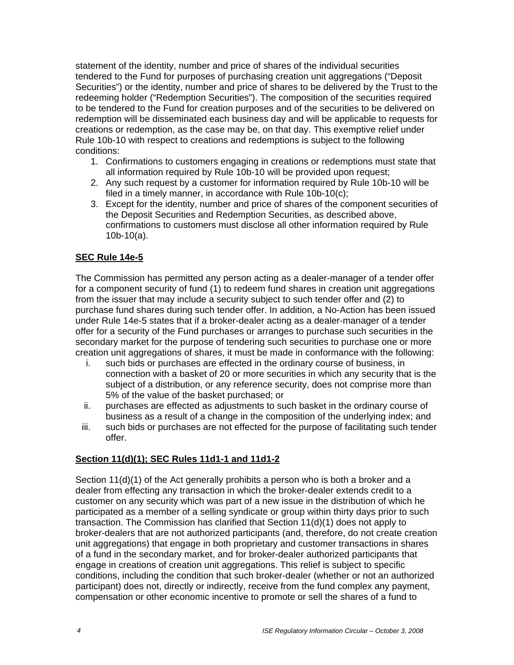statement of the identity, number and price of shares of the individual securities tendered to the Fund for purposes of purchasing creation unit aggregations ("Deposit Securities") or the identity, number and price of shares to be delivered by the Trust to the redeeming holder ("Redemption Securities"). The composition of the securities required to be tendered to the Fund for creation purposes and of the securities to be delivered on redemption will be disseminated each business day and will be applicable to requests for creations or redemption, as the case may be, on that day. This exemptive relief under Rule 10b-10 with respect to creations and redemptions is subject to the following conditions:

- 1. Confirmations to customers engaging in creations or redemptions must state that all information required by Rule 10b-10 will be provided upon request;
- 2. Any such request by a customer for information required by Rule 10b-10 will be filed in a timely manner, in accordance with Rule 10b-10(c);
- 3. Except for the identity, number and price of shares of the component securities of the Deposit Securities and Redemption Securities, as described above, confirmations to customers must disclose all other information required by Rule 10b-10(a).

### **SEC Rule 14e-5**

The Commission has permitted any person acting as a dealer-manager of a tender offer for a component security of fund (1) to redeem fund shares in creation unit aggregations from the issuer that may include a security subject to such tender offer and (2) to purchase fund shares during such tender offer. In addition, a No-Action has been issued under Rule 14e-5 states that if a broker-dealer acting as a dealer-manager of a tender offer for a security of the Fund purchases or arranges to purchase such securities in the secondary market for the purpose of tendering such securities to purchase one or more creation unit aggregations of shares, it must be made in conformance with the following:

- i. such bids or purchases are effected in the ordinary course of business, in connection with a basket of 20 or more securities in which any security that is the subject of a distribution, or any reference security, does not comprise more than 5% of the value of the basket purchased; or
- ii. purchases are effected as adjustments to such basket in the ordinary course of business as a result of a change in the composition of the underlying index; and
- iii. such bids or purchases are not effected for the purpose of facilitating such tender offer.

### **Section 11(d)(1); SEC Rules 11d1-1 and 11d1-2**

Section 11(d)(1) of the Act generally prohibits a person who is both a broker and a dealer from effecting any transaction in which the broker-dealer extends credit to a customer on any security which was part of a new issue in the distribution of which he participated as a member of a selling syndicate or group within thirty days prior to such transaction. The Commission has clarified that Section 11(d)(1) does not apply to broker-dealers that are not authorized participants (and, therefore, do not create creation unit aggregations) that engage in both proprietary and customer transactions in shares of a fund in the secondary market, and for broker-dealer authorized participants that engage in creations of creation unit aggregations. This relief is subject to specific conditions, including the condition that such broker-dealer (whether or not an authorized participant) does not, directly or indirectly, receive from the fund complex any payment, compensation or other economic incentive to promote or sell the shares of a fund to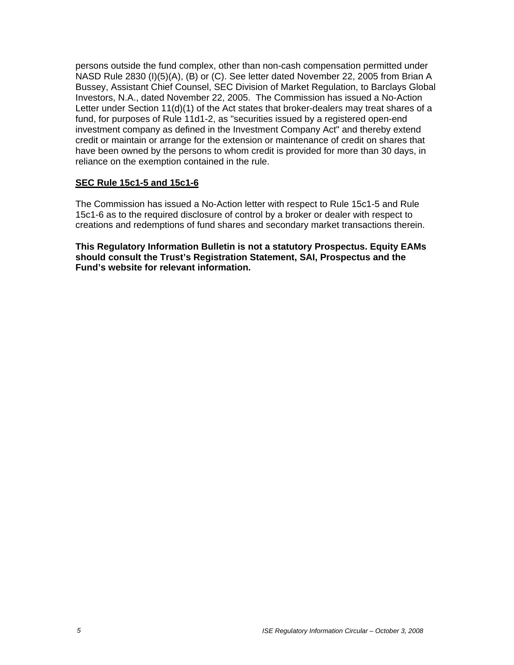persons outside the fund complex, other than non-cash compensation permitted under NASD Rule 2830 (I)(5)(A), (B) or (C). See letter dated November 22, 2005 from Brian A Bussey, Assistant Chief Counsel, SEC Division of Market Regulation, to Barclays Global Investors, N.A., dated November 22, 2005. The Commission has issued a No-Action Letter under Section 11(d)(1) of the Act states that broker-dealers may treat shares of a fund, for purposes of Rule 11d1-2, as "securities issued by a registered open-end investment company as defined in the Investment Company Act" and thereby extend credit or maintain or arrange for the extension or maintenance of credit on shares that have been owned by the persons to whom credit is provided for more than 30 days, in reliance on the exemption contained in the rule.

### **SEC Rule 15c1-5 and 15c1-6**

The Commission has issued a No-Action letter with respect to Rule 15c1-5 and Rule 15c1-6 as to the required disclosure of control by a broker or dealer with respect to creations and redemptions of fund shares and secondary market transactions therein.

**This Regulatory Information Bulletin is not a statutory Prospectus. Equity EAMs should consult the Trust's Registration Statement, SAI, Prospectus and the Fund's website for relevant information.**